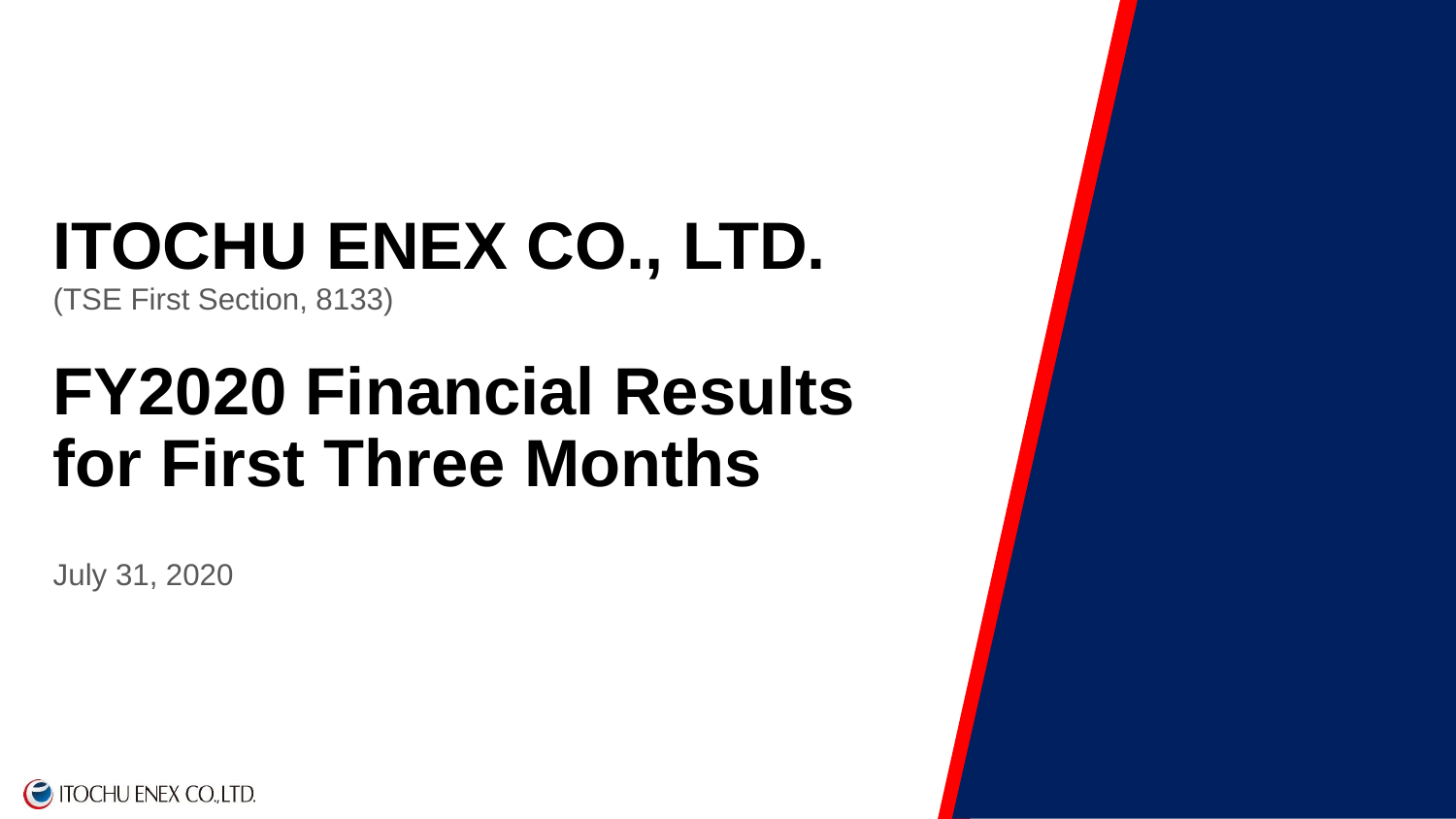# **ITOCHU ENEX CO., LTD.**

(TSE First Section, 8133)

# **FY2020 Financial Results for First Three Months**

July 31, 2020

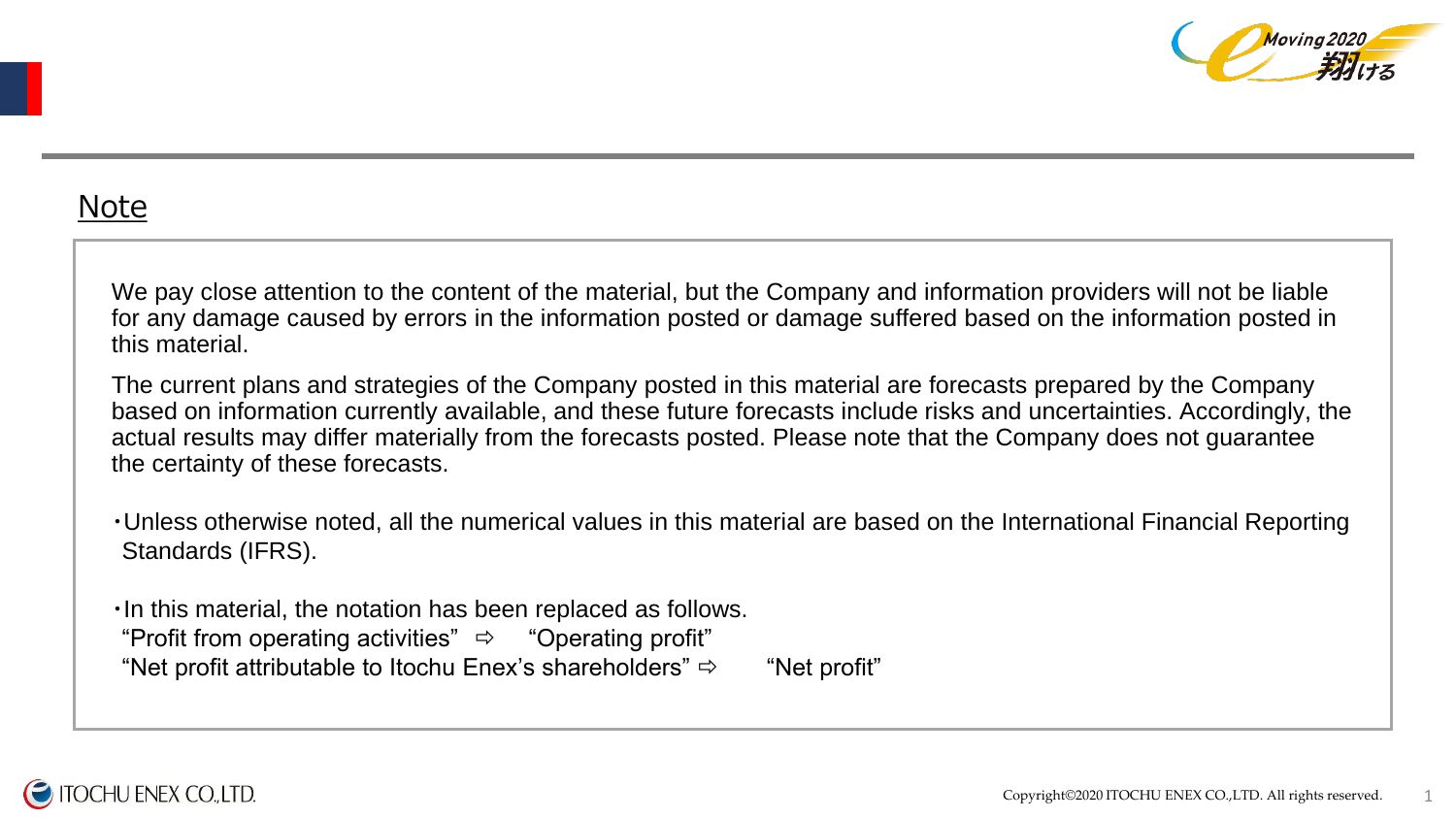

### Note

We pay close attention to the content of the material, but the Company and information providers will not be liable for any damage caused by errors in the information posted or damage suffered based on the information posted in this material.

The current plans and strategies of the Company posted in this material are forecasts prepared by the Company based on information currently available, and these future forecasts include risks and uncertainties. Accordingly, the actual results may differ materially from the forecasts posted. Please note that the Company does not guarantee the certainty of these forecasts.

・Unless otherwise noted, all the numerical values in this material are based on the International Financial Reporting Standards (IFRS).

・In this material, the notation has been replaced as follows. "Profit from operating activities"  $\Rightarrow$  "Operating profit" "Net profit attributable to Itochu Enex's shareholders"  $\Rightarrow$  "Net profit"

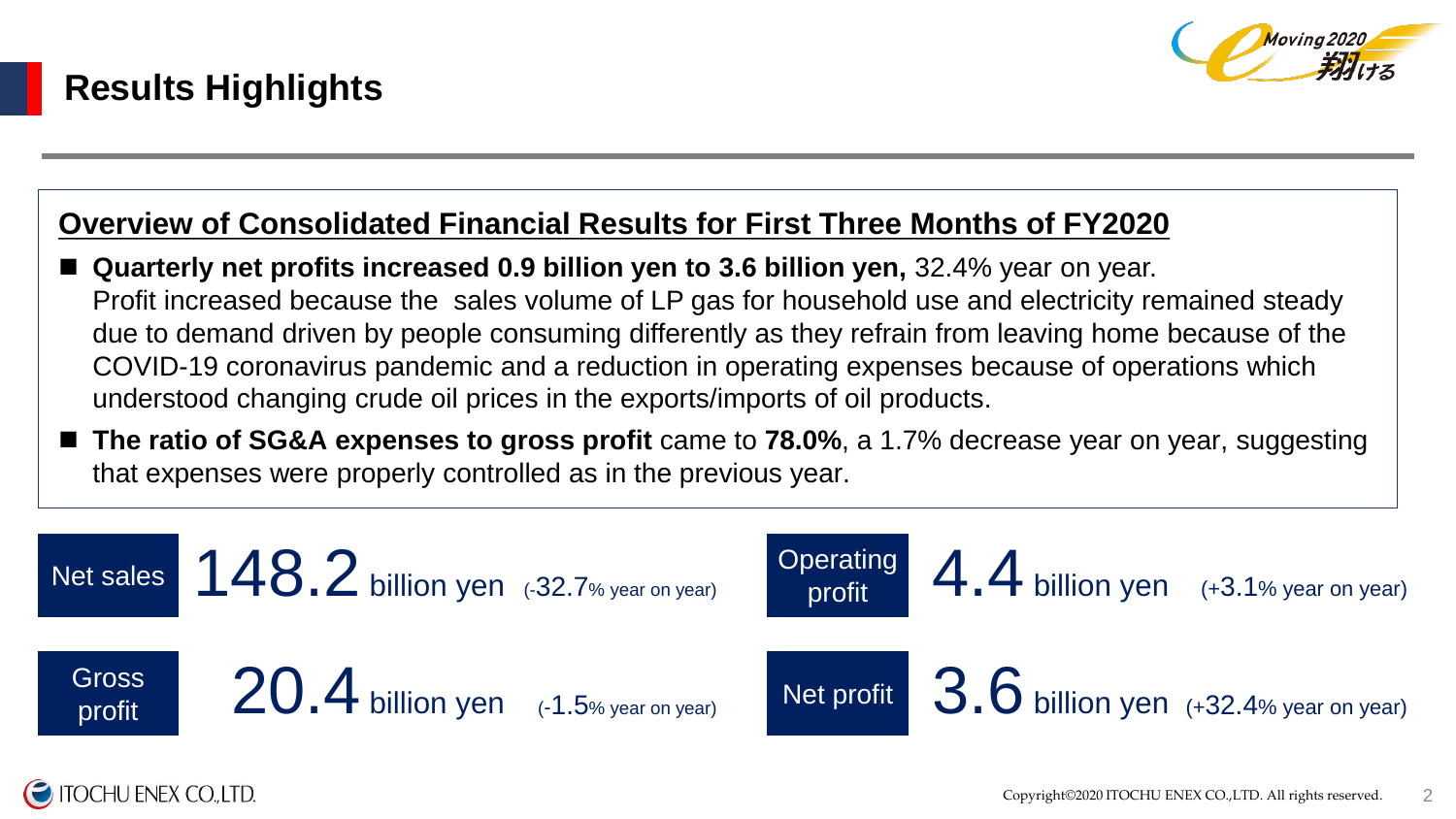

### **Overview of Consolidated Financial Results for First Three Months of FY2020**

- **Quarterly net profits increased 0.9 billion yen to 3.6 billion yen,** 32.4% year on year. Profit increased because the sales volume of LP gas for household use and electricity remained steady due to demand driven by people consuming differently as they refrain from leaving home because of the COVID-19 coronavirus pandemic and a reduction in operating expenses because of operations which understood changing crude oil prices in the exports/imports of oil products.
- The ratio of SG&A expenses to gross profit came to 78.0%, a 1.7% decrease year on year, suggesting that expenses were properly controlled as in the previous year.

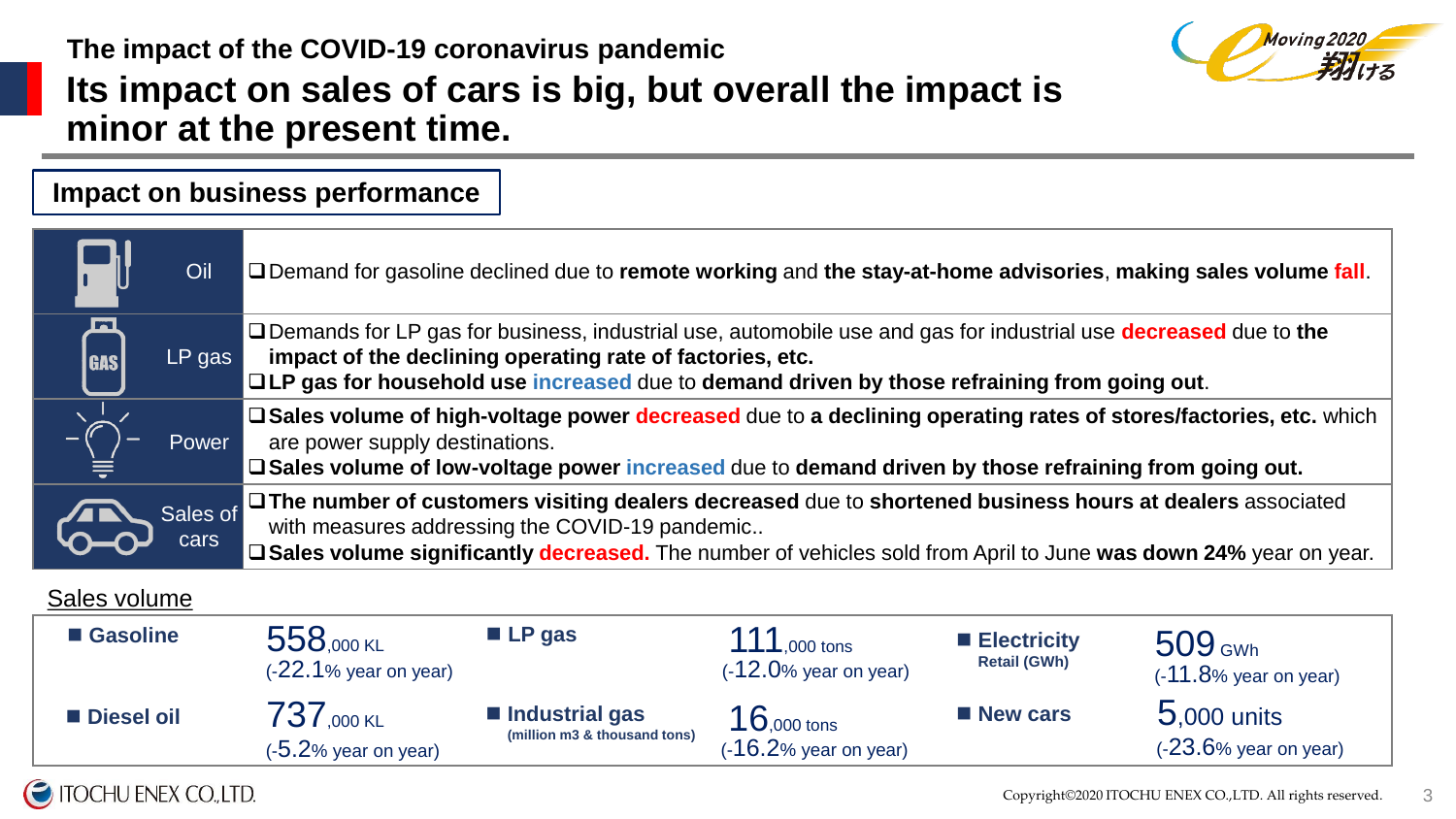

## **The impact of the COVID-19 coronavirus pandemic Its impact on sales of cars is big, but overall the impact is minor at the present time.**

|                  | Oil              | □ Demand for gasoline declined due to remote working and the stay-at-home advisories, making sales volume fall.                                                                                                                                                                       |
|------------------|------------------|---------------------------------------------------------------------------------------------------------------------------------------------------------------------------------------------------------------------------------------------------------------------------------------|
| h.<br><b>GAS</b> | $LP$ gas         | □ Demands for LP gas for business, industrial use, automobile use and gas for industrial use <b>decreased</b> due to the<br>impact of the declining operating rate of factories, etc.<br>□LP gas for household use increased due to demand driven by those refraining from going out. |
|                  | Power            | □ Sales volume of high-voltage power decreased due to a declining operating rates of stores/factories, etc. which<br>are power supply destinations.<br>□ Sales volume of low-voltage power increased due to demand driven by those refraining from going out.                         |
|                  | Sales of<br>cars | J⊡ The number of customers visiting dealers decreased due to shortened business hours at dealers associated<br>with measures addressing the COVID-19 pandemic<br>□ Sales volume significantly decreased. The number of vehicles sold from April to June was down 24% year on year.    |

#### Sales volume

| ■ Gasoline | 558,000 KL<br>$(-22.1\%$ year on year)              | $\blacksquare$ LP gas                          | ,000 tons<br>$(-12.0\%$ year on year)               | $\blacksquare$ Electricity<br><b>Retail (GWh)</b> | $509$ GWh<br>$(-11.8\%$ year on year)     |
|------------|-----------------------------------------------------|------------------------------------------------|-----------------------------------------------------|---------------------------------------------------|-------------------------------------------|
| Diesel oil | $737_{,000 \text{ KL}}$<br>(- $5.2\%$ year on year) | Industrial gas<br>(million m3 & thousand tons) | $16_{,000 \text{ tons}}$<br>$(-16.2%$ year on year) | <b>New cars</b>                                   | $5,000$ units<br>$(-23.6\%$ year on year) |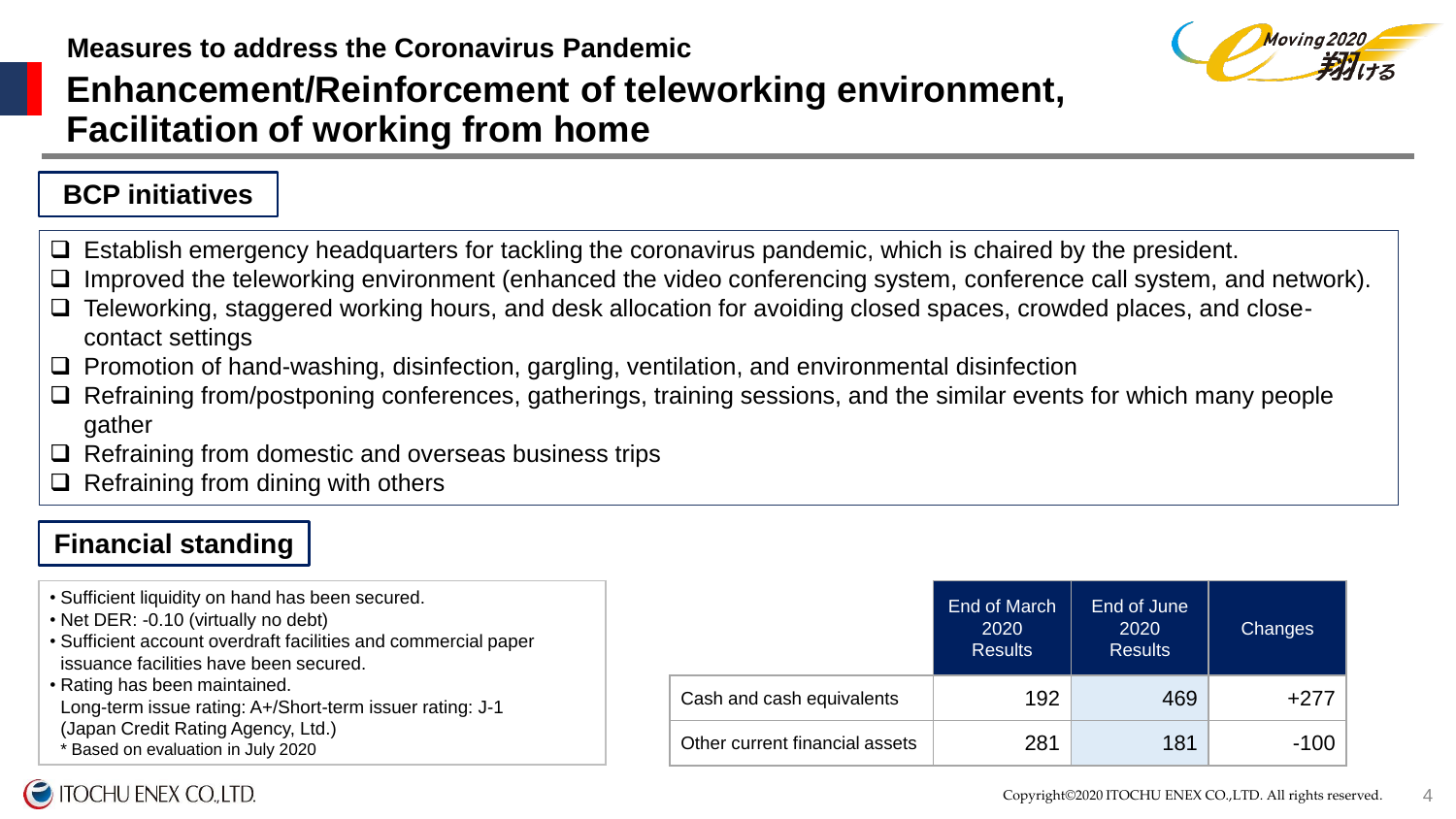

# **Enhancement/Reinforcement of teleworking environment, Facilitation of working from home**

### **BCP initiatives**

- $\Box$  Establish emergency headquarters for tackling the coronavirus pandemic, which is chaired by the president.
- $\Box$  Improved the teleworking environment (enhanced the video conferencing system, conference call system, and network).
- Teleworking, staggered working hours, and desk allocation for avoiding closed spaces, crowded places, and closecontact settings
- $\Box$  Promotion of hand-washing, disinfection, gargling, ventilation, and environmental disinfection
- $\Box$  Refraining from/postponing conferences, gatherings, training sessions, and the similar events for which many people gather
- $\Box$  Refraining from domestic and overseas business trips
- $\Box$  Refraining from dining with others

### **Financial standing**

• Sufficient liquidity on hand has been secured. • Net DER: -0.10 (virtually no debt) • Sufficient account overdraft facilities and commercial paper issuance facilities have been secured. • Rating has been maintained. Long-term issue rating: A+/Short-term issuer rating: J-1 (Japan Credit Rating Agency, Ltd.) \* Based on evaluation in July 2020 End of March 2020 Results End of June 2020 Results **Changes** Cash and cash equivalents  $\vert$  192  $\vert$  469 +277 Other current financial assets  $\vert$  281  $\vert$  181  $\vert$  -100

### **ITOCHU ENEX CO.,LTD.**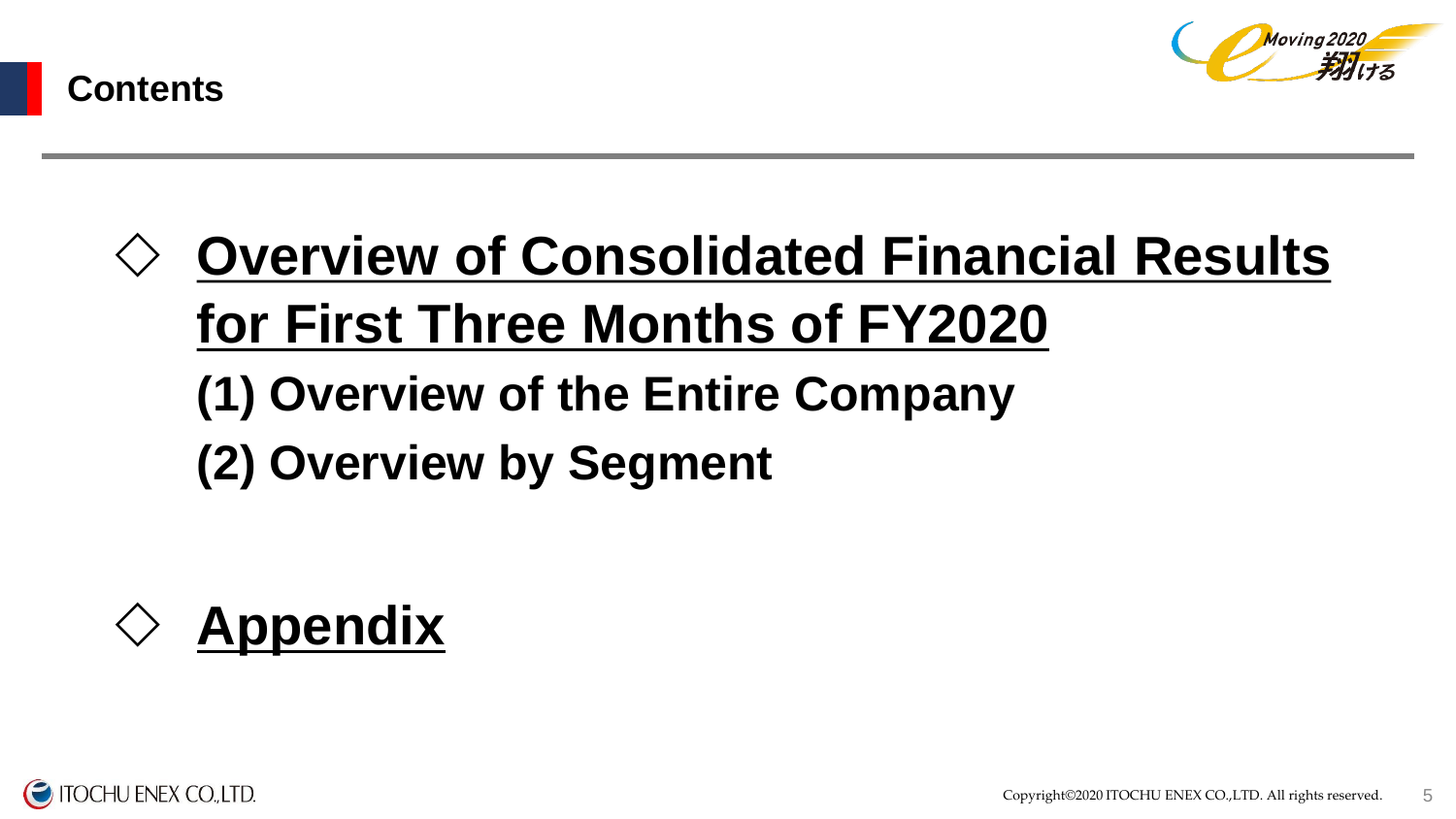



# **Overview of Consolidated Financial Results for First Three Months of FY2020 (1) Overview of the Entire Company**

**(2) Overview by Segment**



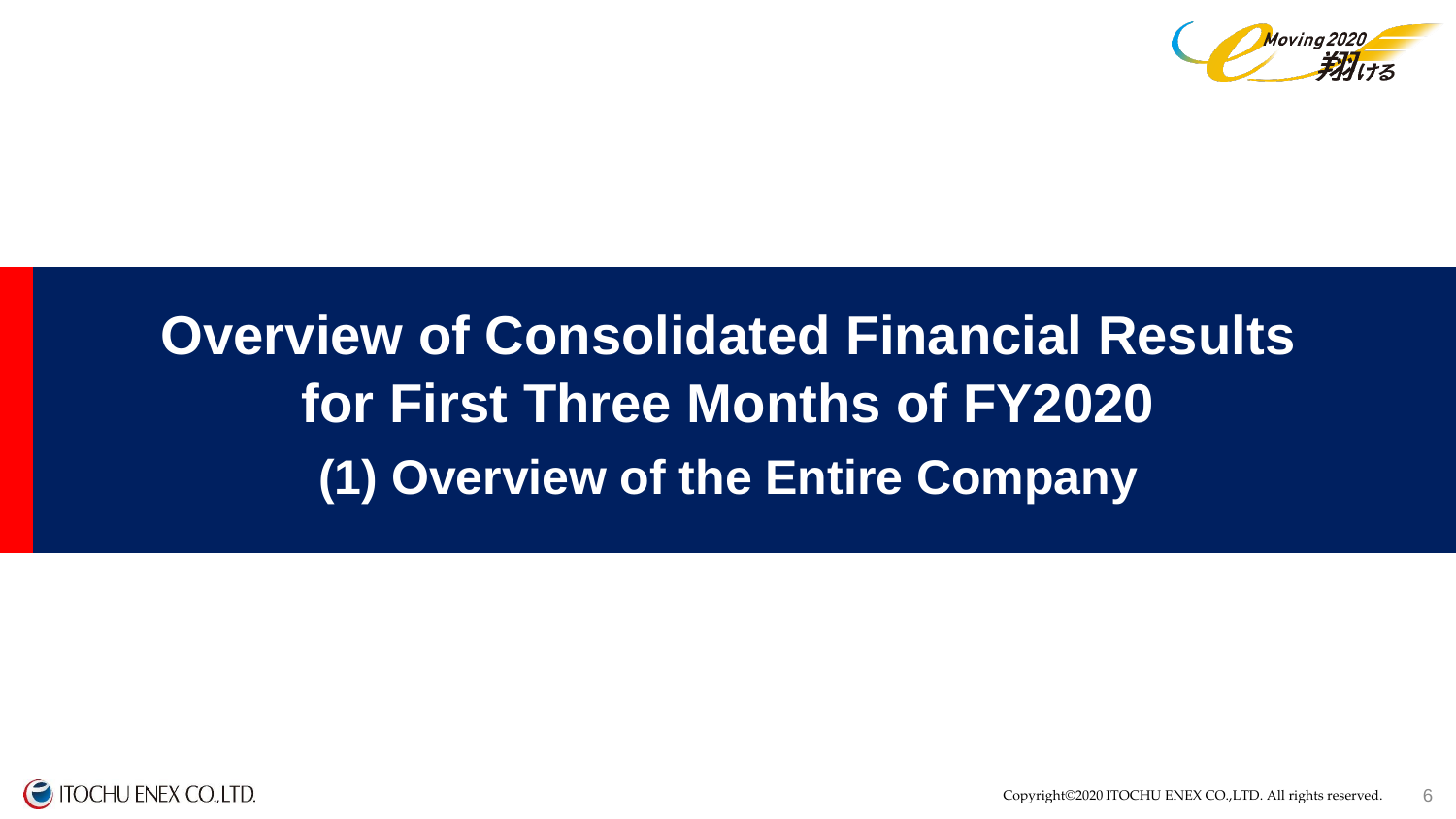

# **(1) Overview of the Entire Company Overview of Consolidated Financial Results for First Three Months of FY2020**

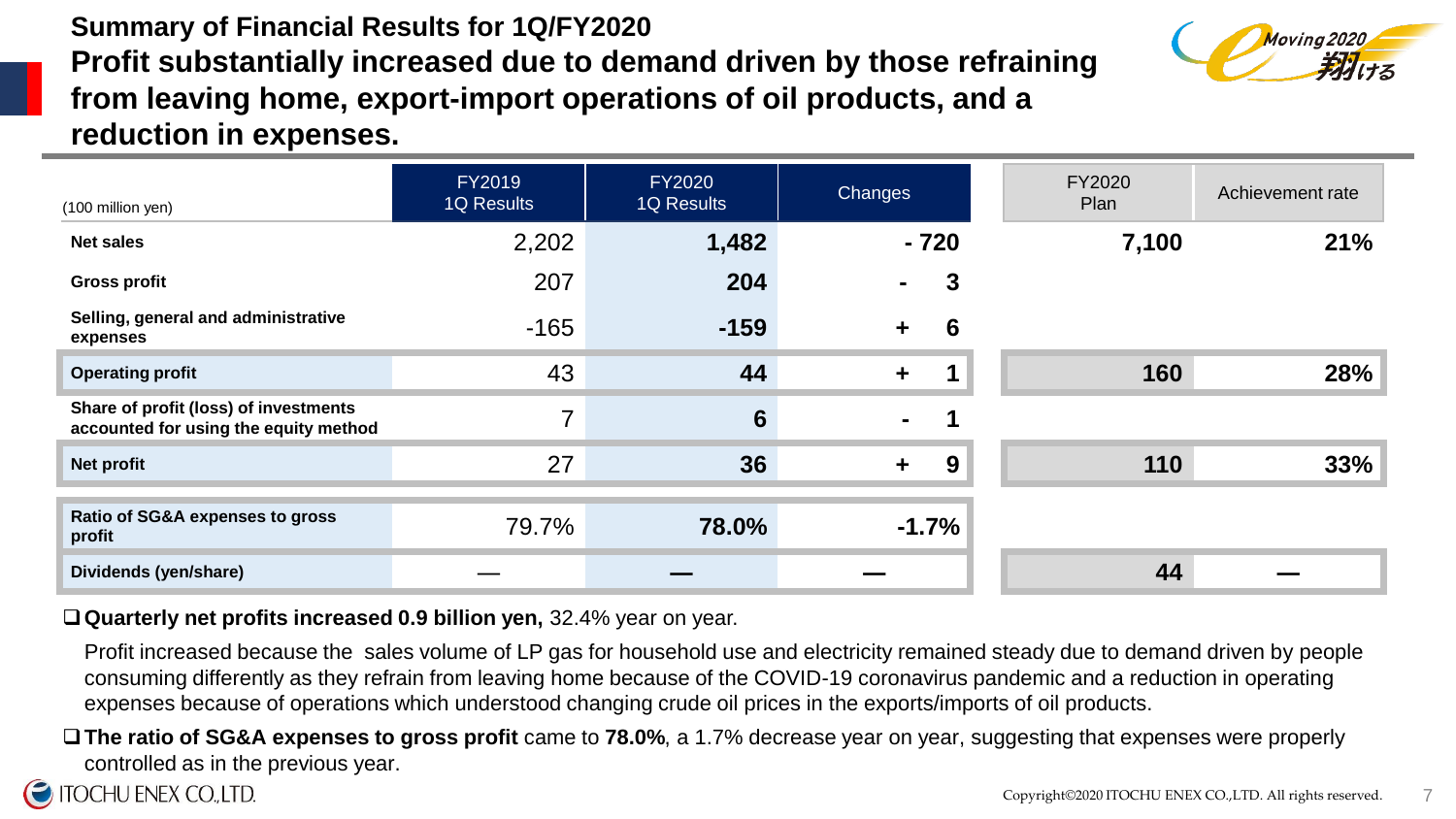## **Summary of Financial Results for 1Q/FY2020 Profit substantially increased due to demand driven by those refraining from leaving home, export-import operations of oil products, and a reduction in expenses.**



| (100 million yen)                                                              | <b>FY2019</b><br><b>1Q Results</b> | <b>FY2020</b><br><b>1Q Results</b> | <b>Changes</b>            | <b>FY2020</b><br>Plan | Achievement rate |
|--------------------------------------------------------------------------------|------------------------------------|------------------------------------|---------------------------|-----------------------|------------------|
| <b>Net sales</b>                                                               | 2,202                              | 1,482                              | $-720$                    | 7,100                 | 21%              |
| <b>Gross profit</b>                                                            | 207                                | 204                                | 3<br>$\blacksquare$       |                       |                  |
| Selling, general and administrative<br>expenses                                | $-165$                             | $-159$                             | 6<br>$\ddot{\phantom{1}}$ |                       |                  |
| <b>Operating profit</b>                                                        | 43                                 | 44                                 | $\ddot{\phantom{1}}$      | 160                   | 28%              |
| Share of profit (loss) of investments<br>accounted for using the equity method | $\overline{7}$                     | $6\phantom{1}6$                    | 1<br>$\sim$               |                       |                  |
| <b>Net profit</b>                                                              | 27                                 | 36                                 | 9<br>$+$                  | 110                   | 33%              |
|                                                                                |                                    |                                    |                           |                       |                  |
| Ratio of SG&A expenses to gross<br>profit                                      | 79.7%                              | 78.0%                              | $-1.7%$                   |                       |                  |
| Dividends (yen/share)                                                          |                                    |                                    |                           | 44                    |                  |

#### **Quarterly net profits increased 0.9 billion yen,** 32.4% year on year.

Profit increased because the sales volume of LP gas for household use and electricity remained steady due to demand driven by people consuming differently as they refrain from leaving home because of the COVID-19 coronavirus pandemic and a reduction in operating expenses because of operations which understood changing crude oil prices in the exports/imports of oil products.

**The ratio of SG&A expenses to gross profit** came to **78.0%**, a 1.7% decrease year on year, suggesting that expenses were properly controlled as in the previous year.

### **ITOCHU ENEX CO., LTD.**

7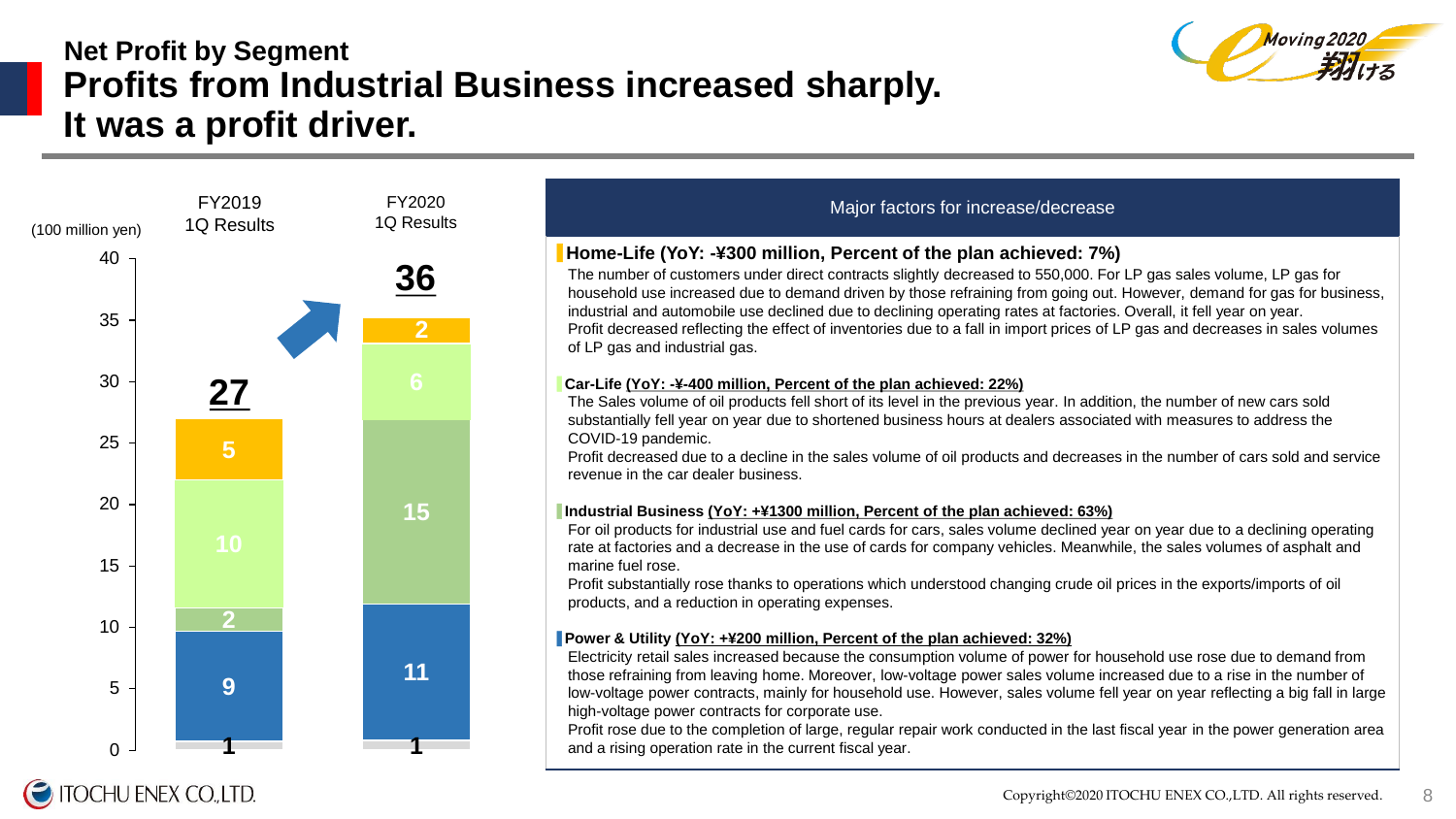# **Net Profit by Segment Profits from Industrial Business increased sharply. It was a profit driver.**





**TOCHU ENEX CO.,LTD.** 

#### Major factors for increase/decrease

#### ▋**Home-Life (YoY: -¥300 million, Percent of the plan achieved: 7%)**

The number of customers under direct contracts slightly decreased to 550,000. For LP gas sales volume, LP gas for household use increased due to demand driven by those refraining from going out. However, demand for gas for business, industrial and automobile use declined due to declining operating rates at factories. Overall, it fell year on year. Profit decreased reflecting the effect of inventories due to a fall in import prices of LP gas and decreases in sales volumes

#### ▋**Car-Life (YoY: -¥-400 million, Percent of the plan achieved: 22%)**

The Sales volume of oil products fell short of its level in the previous year. In addition, the number of new cars sold substantially fell year on year due to shortened business hours at dealers associated with measures to address the

Profit decreased due to a decline in the sales volume of oil products and decreases in the number of cars sold and service

#### ▋**Industrial Business (YoY: +¥1300 million, Percent of the plan achieved: 63%)**

For oil products for industrial use and fuel cards for cars, sales volume declined year on year due to a declining operating rate at factories and a decrease in the use of cards for company vehicles. Meanwhile, the sales volumes of asphalt and

Profit substantially rose thanks to operations which understood changing crude oil prices in the exports/imports of oil

#### ▋**Power & Utility (YoY: +¥200 million, Percent of the plan achieved: 32%)**

Electricity retail sales increased because the consumption volume of power for household use rose due to demand from those refraining from leaving home. Moreover, low-voltage power sales volume increased due to a rise in the number of low-voltage power contracts, mainly for household use. However, sales volume fell year on year reflecting a big fall in large

Profit rose due to the completion of large, regular repair work conducted in the last fiscal year in the power generation area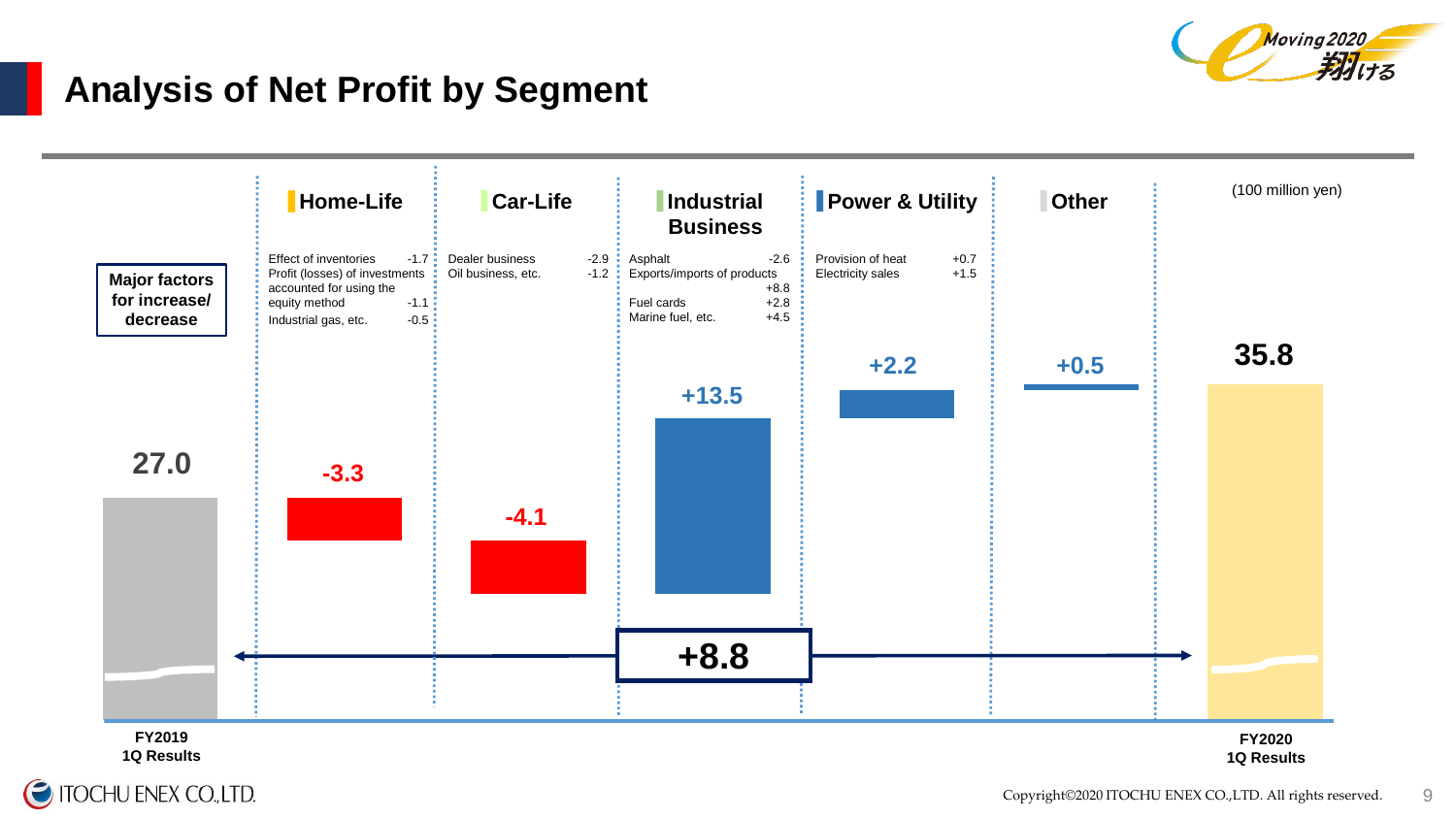

# **Analysis of Net Profit by Segment**



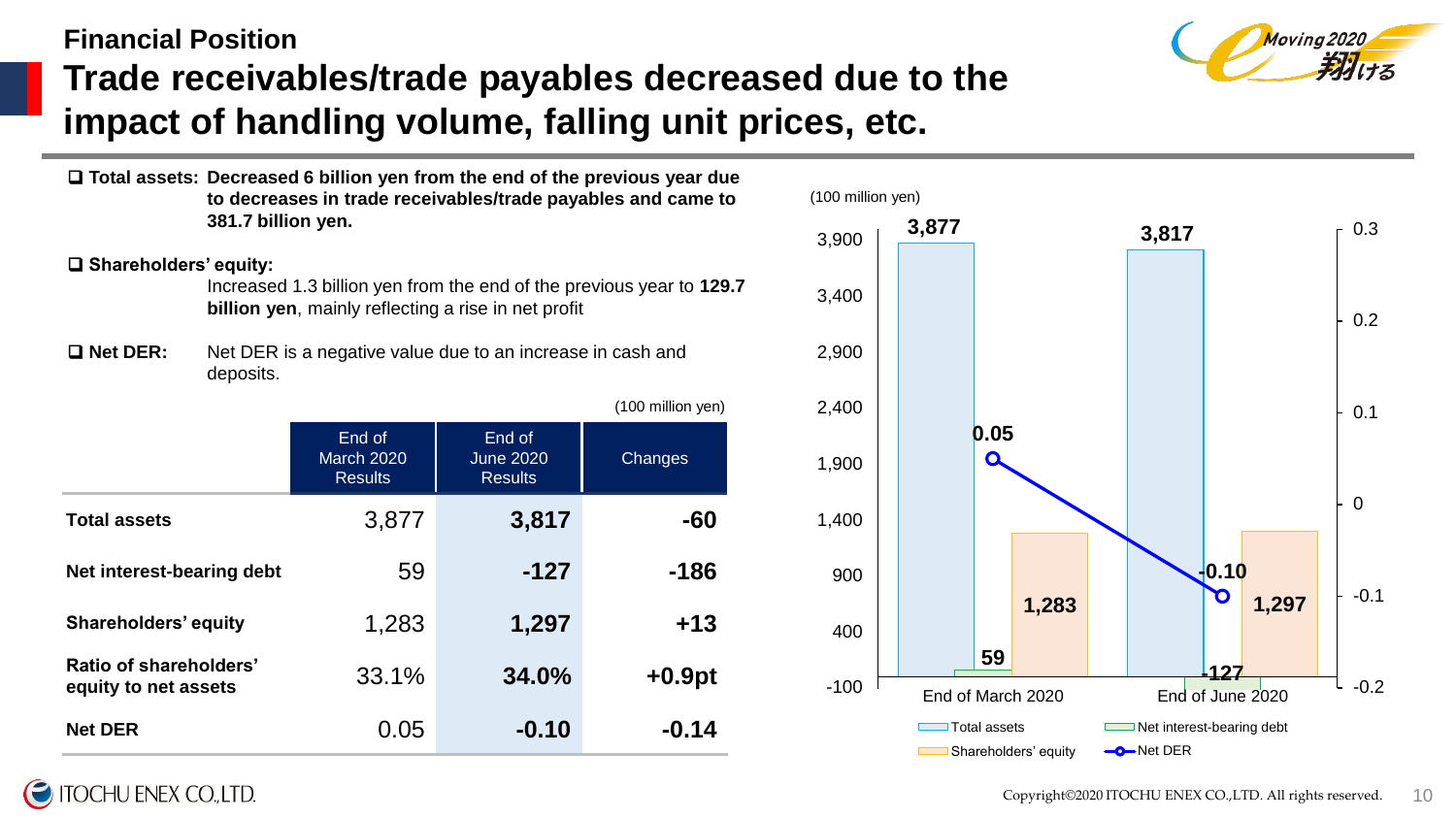# **Financial Position Trade receivables/trade payables decreased due to the impact of handling volume, falling unit prices, etc.**



 **Total assets: Decreased 6 billion yen from the end of the previous year due to decreases in trade receivables/trade payables and came to 381.7 billion yen.** 

#### **Shareholders' equity:**

Increased 1.3 billion yen from the end of the previous year to **129.7 billion yen**, mainly reflecting a rise in net profit

 **Net DER:** Net DER is a negative value due to an increase in cash and deposits.

|                                                |                                               |                                              | (100 million yen) |
|------------------------------------------------|-----------------------------------------------|----------------------------------------------|-------------------|
|                                                | End of<br><b>March 2020</b><br><b>Results</b> | End of<br><b>June 2020</b><br><b>Results</b> | Changes           |
| <b>Total assets</b>                            | 3,877                                         | 3,817                                        | -60               |
| Net interest-bearing debt                      | 59                                            | $-127$                                       | $-186$            |
| <b>Shareholders' equity</b>                    | 1,283                                         | 1,297                                        | $+13$             |
| Ratio of shareholders'<br>equity to net assets | 33.1%                                         | 34.0%                                        | $+0.9pt$          |
| <b>Net DER</b>                                 | 0.05                                          | $-0.10$                                      | $-0.14$           |



## **ITOCHU ENEX CO., LTD.**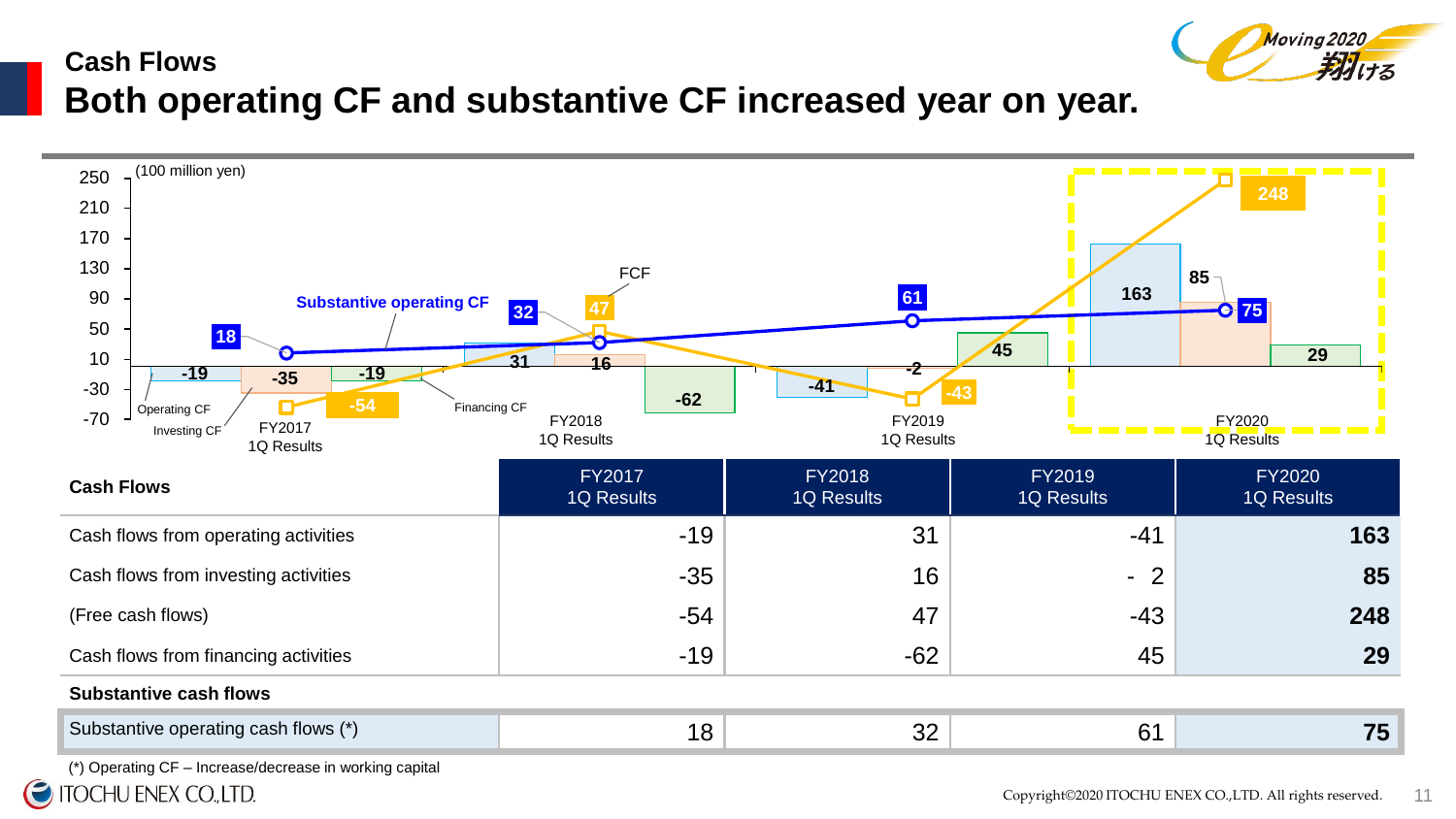# **Cash Flows Both operating CF and substantive CF increased year on year.**



(\*) Operating CF – Increase/decrease in working capital

 $\boldsymbol{\Theta}$ **ITOCHU ENEX CO., LTD.** 

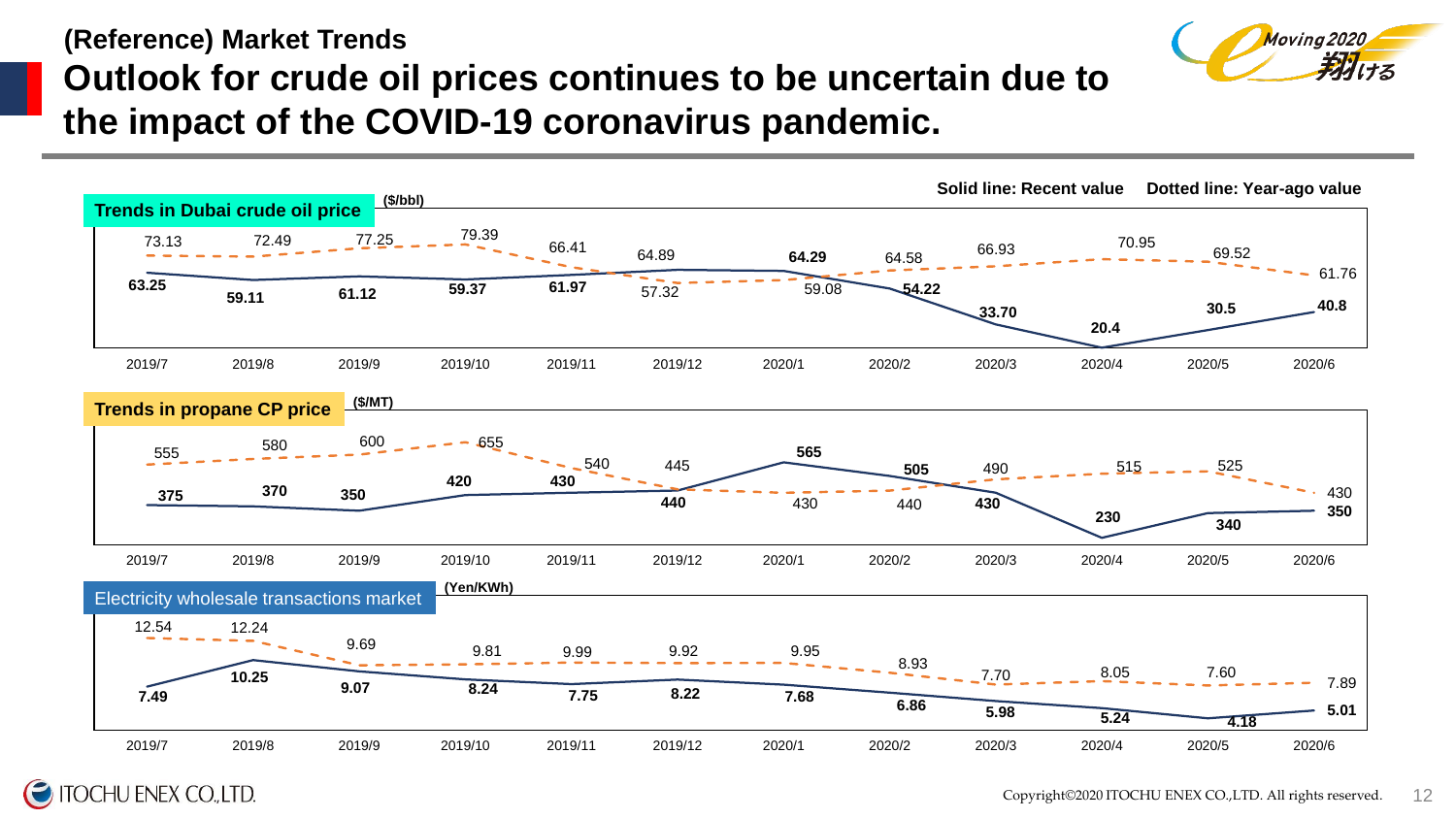# **(Reference) Market Trends Outlook for crude oil prices continues to be uncertain due to the impact of the COVID-19 coronavirus pandemic.**



**ITOCHU ENEX CO., LTD.** 

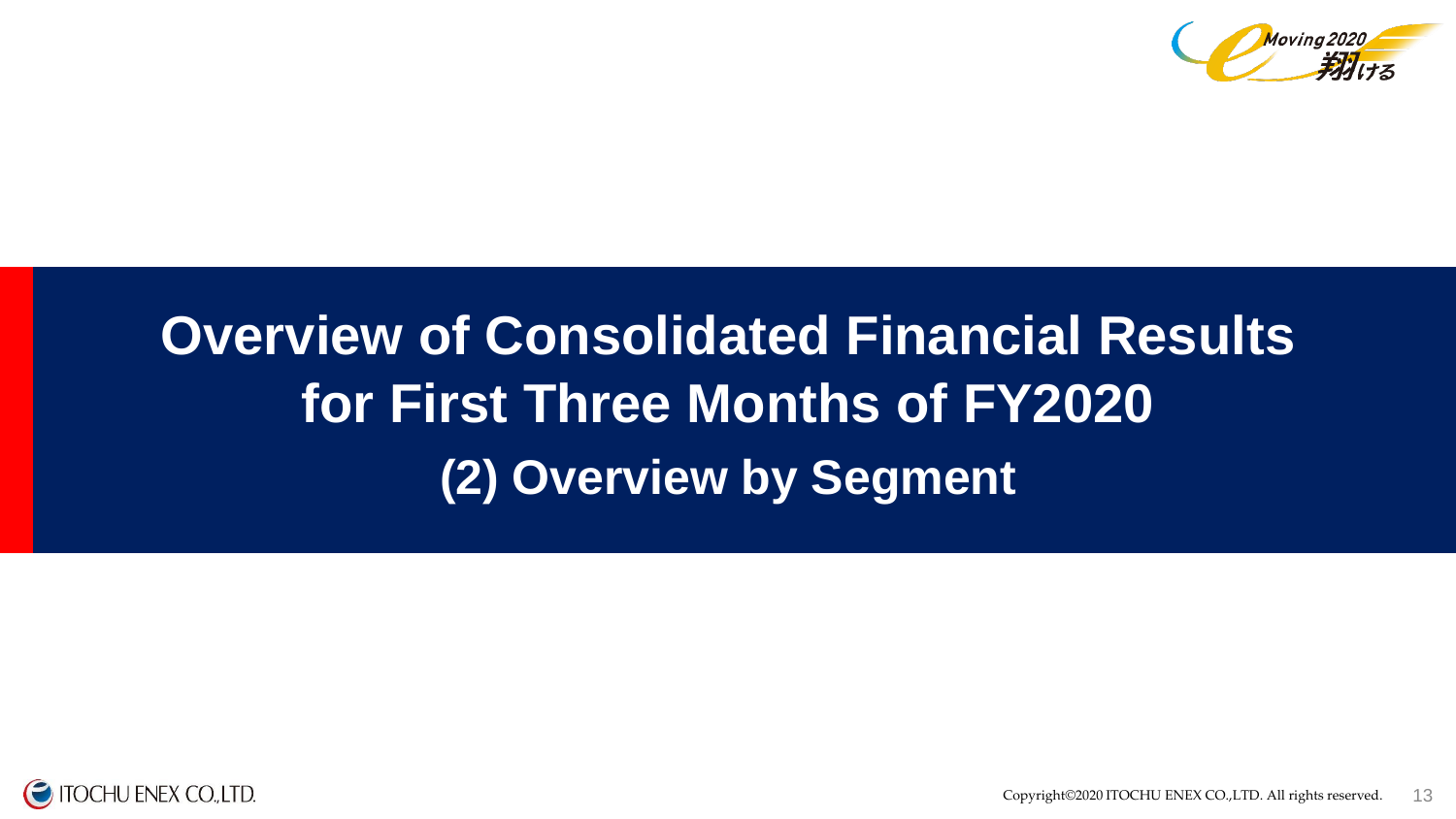

# **(2) Overview by Segment Overview of Consolidated Financial Results for First Three Months of FY2020**

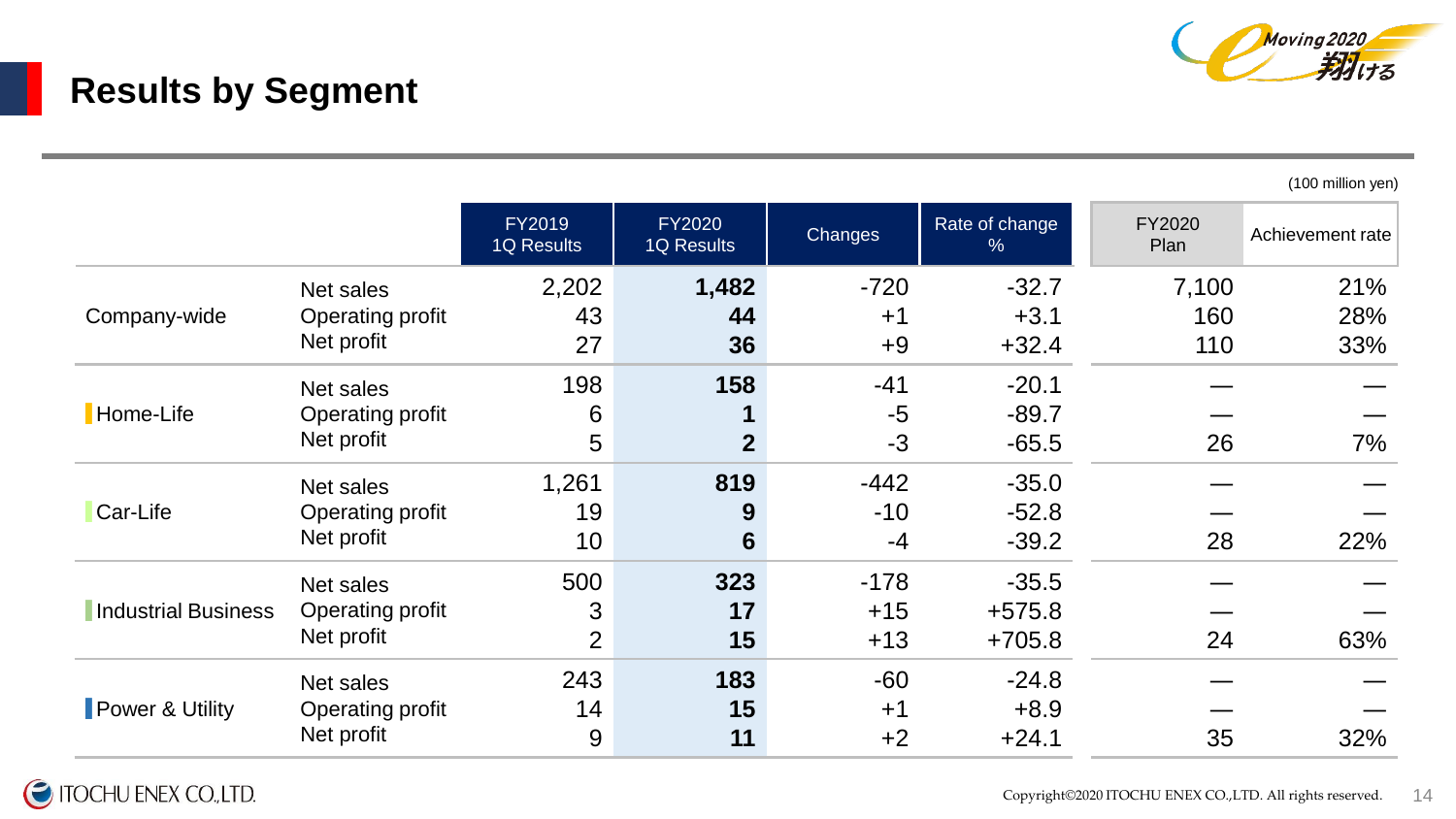

# **Results by Segment**

(100 million yen)

|                            |                  | <b>FY2019</b><br><b>1Q Results</b> | <b>FY2020</b><br><b>1Q Results</b> | <b>Changes</b> | Rate of change<br>% | <b>FY2020</b><br>Plan | Achievement rate |
|----------------------------|------------------|------------------------------------|------------------------------------|----------------|---------------------|-----------------------|------------------|
|                            | Net sales        | 2,202                              | 1,482                              | $-720$         | $-32.7$             | 7,100                 | 21%              |
| Company-wide               | Operating profit | 43                                 | 44                                 | $+1$           | $+3.1$              | 160                   | 28%              |
|                            | Net profit       | 27                                 | 36                                 | $+9$           | $+32.4$             | 110                   | 33%              |
|                            | Net sales        | 198                                | 158                                | $-41$          | $-20.1$             |                       |                  |
| Home-Life                  | Operating profit | 6                                  |                                    | $-5$           | $-89.7$             |                       |                  |
|                            | Net profit       | 5                                  | $\overline{2}$                     | $-3$           | $-65.5$             | 26                    | 7%               |
|                            | Net sales        | 1,261                              | 819                                | $-442$         | $-35.0$             |                       |                  |
| Car-Life                   | Operating profit | 19                                 | 9                                  | $-10$          | $-52.8$             |                       |                  |
|                            | Net profit       | 10                                 | $6\phantom{1}$                     | $-4$           | $-39.2$             | 28                    | 22%              |
|                            | Net sales        | 500                                | 323                                | $-178$         | $-35.5$             |                       |                  |
| <b>Industrial Business</b> | Operating profit | 3                                  | 17                                 | $+15$          | $+575.8$            |                       |                  |
|                            | Net profit       | $\overline{2}$                     | 15                                 | $+13$          | $+705.8$            | 24                    | 63%              |
|                            | Net sales        | 243                                | 183                                | $-60$          | $-24.8$             |                       |                  |
| Power & Utility            | Operating profit | 14                                 | 15                                 | $+1$           | $+8.9$              |                       |                  |
|                            | Net profit       | 9                                  | 11                                 | $+2$           | $+24.1$             | 35                    | 32%              |

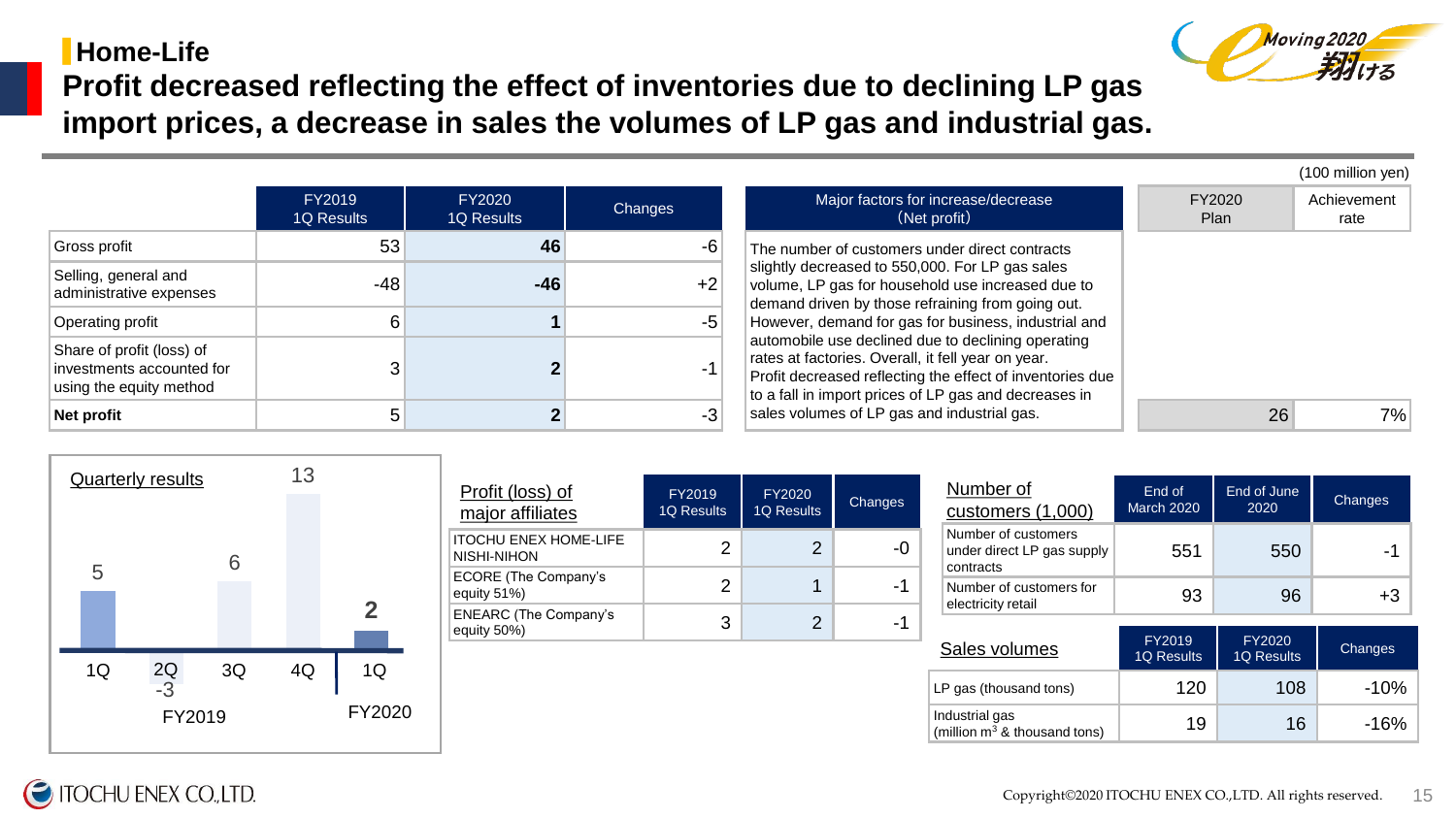### ▋**Home-Life**



(100 million yen)

**Profit decreased reflecting the effect of inventories due to declining LP gas import prices, a decrease in sales the volumes of LP gas and industrial gas.** 

|                                                                                   | <b>FY2019</b><br>1Q Results | FY2020<br>1Q Results | Changes | Major factors for increase/decrease<br>(Net profit)                                                                                                                                                                                                                                                                                                                                                                                                                                                                                                  | FY2020<br><b>Plan</b> | Achievement<br>rate |  |
|-----------------------------------------------------------------------------------|-----------------------------|----------------------|---------|------------------------------------------------------------------------------------------------------------------------------------------------------------------------------------------------------------------------------------------------------------------------------------------------------------------------------------------------------------------------------------------------------------------------------------------------------------------------------------------------------------------------------------------------------|-----------------------|---------------------|--|
| Gross profit                                                                      | 53                          | 46                   | $-6$    | The number of customers under direct contracts<br>slightly decreased to 550,000. For LP gas sales<br>volume, LP gas for household use increased due to<br>demand driven by those refraining from going out.<br>However, demand for gas for business, industrial and<br>automobile use declined due to declining operating<br>rates at factories. Overall, it fell year on year.<br>Profit decreased reflecting the effect of inventories due<br>to a fall in import prices of LP gas and decreases in<br>sales volumes of LP gas and industrial gas. |                       |                     |  |
| Selling, general and<br>administrative expenses                                   | $-48$                       | $-46$                | $+2$    |                                                                                                                                                                                                                                                                                                                                                                                                                                                                                                                                                      |                       |                     |  |
| Operating profit                                                                  |                             |                      | $-5$    |                                                                                                                                                                                                                                                                                                                                                                                                                                                                                                                                                      |                       |                     |  |
| Share of profit (loss) of<br>investments accounted for<br>using the equity method |                             |                      | $-1$    |                                                                                                                                                                                                                                                                                                                                                                                                                                                                                                                                                      |                       |                     |  |
| Net profit                                                                        |                             |                      | $-3$    |                                                                                                                                                                                                                                                                                                                                                                                                                                                                                                                                                      | 26                    | 7%                  |  |



| Profit (loss) of<br>major affiliates        | FY2019<br>1Q Results | FY2020<br><b>1Q Results</b> | Changes |
|---------------------------------------------|----------------------|-----------------------------|---------|
| <b>ITOCHU ENEX HOME-LIFE</b><br>NISHI-NIHON | 2                    | 2                           | -0      |
| <b>ECORE (The Company's</b><br>equity 51%)  | 2                    |                             | -1      |
| <b>ENEARC (The Company's</b><br>equity 50%) | 3                    | 2                           | -1      |

| Major factors for increase/decrease<br>(Net profit)                                                                                                                                                                                                                                                                                                                                                                                                                                                   | FY2020<br>Plan | Achievement<br>rate |
|-------------------------------------------------------------------------------------------------------------------------------------------------------------------------------------------------------------------------------------------------------------------------------------------------------------------------------------------------------------------------------------------------------------------------------------------------------------------------------------------------------|----------------|---------------------|
| The number of customers under direct contracts<br>slightly decreased to 550,000. For LP gas sales<br>volume, LP gas for household use increased due to<br>demand driven by those refraining from going out.<br>However, demand for gas for business, industrial and<br>automobile use declined due to declining operating<br>rates at factories. Overall, it fell year on year.<br>Profit decreased reflecting the effect of inventories due<br>to a fall in import prices of LP gas and decreases in |                |                     |
| sales volumes of LP gas and industrial gas.                                                                                                                                                                                                                                                                                                                                                                                                                                                           | 26             | 7%                  |

| Number of<br>customers (1,000)                                 | End of<br><b>March 2020</b> | End of June<br>2020 | Changes        |
|----------------------------------------------------------------|-----------------------------|---------------------|----------------|
| Number of customers<br>under direct LP gas supply<br>contracts | 551                         | 550                 | -1             |
| Number of customers for<br>electricity retail                  | 93                          | 96                  | $+3$           |
|                                                                |                             |                     |                |
|                                                                | FY2019                      | FY2020              |                |
| Sales volumes                                                  | <b>1Q Results</b>           | <b>1Q Results</b>   | <b>Changes</b> |
| LP gas (thousand tons)                                         | 120                         | 108                 | $-10%$         |

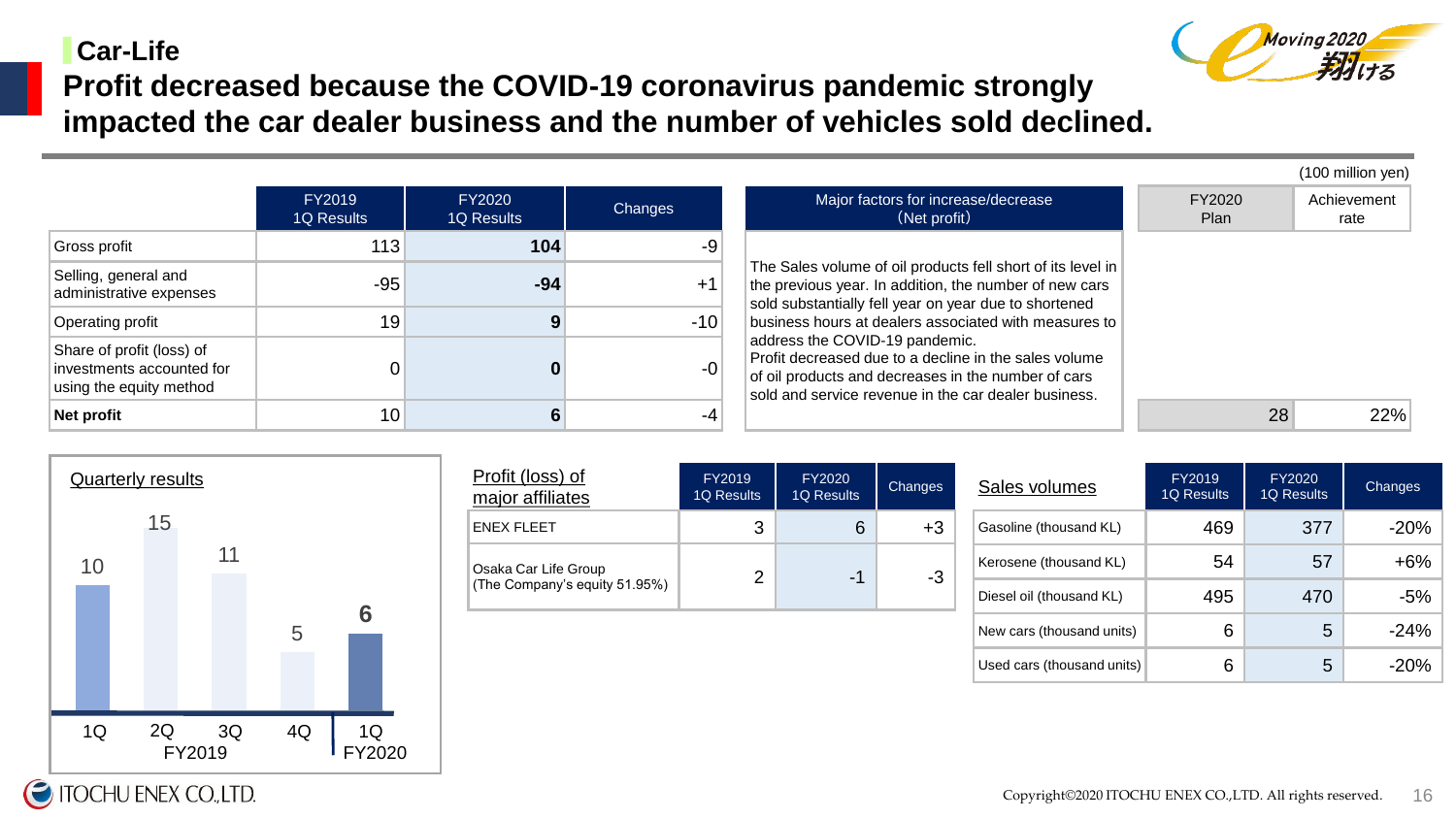### ▋**Car-Life**



(100 million yen)

**Profit decreased because the COVID-19 coronavirus pandemic strongly impacted the car dealer business and the number of vehicles sold declined.** 

|                                                                                   |                      |                      |         |                                                                                                                                                                                                                                         |                | . <i>. .</i>        |
|-----------------------------------------------------------------------------------|----------------------|----------------------|---------|-----------------------------------------------------------------------------------------------------------------------------------------------------------------------------------------------------------------------------------------|----------------|---------------------|
|                                                                                   | FY2019<br>1Q Results | FY2020<br>1Q Results | Changes | Major factors for increase/decrease<br>(Net profit)                                                                                                                                                                                     | FY2020<br>Plan | Achievement<br>rate |
| Gross profit                                                                      | 113                  | 104                  | -9'     |                                                                                                                                                                                                                                         |                |                     |
| Selling, general and<br>administrative expenses                                   | $-95$                | $-94$                | $+1$    | The Sales volume of oil products fell short of its level in<br>the previous year. In addition, the number of new cars<br>sold substantially fell year on year due to shortened<br>business hours at dealers associated with measures to |                |                     |
| Operating profit                                                                  | 19                   |                      | $-10$   |                                                                                                                                                                                                                                         |                |                     |
| Share of profit (loss) of<br>investments accounted for<br>using the equity method |                      |                      | $-0$    | address the COVID-19 pandemic.<br>Profit decreased due to a decline in the sales volume<br>of oil products and decreases in the number of cars<br>sold and service revenue in the car dealer business.                                  |                |                     |
| Net profit                                                                        | 10 <sub>1</sub>      |                      | -4      |                                                                                                                                                                                                                                         | 28             | 22%                 |



| <u>Profit (loss) of</u><br>major affiliates | FY2019<br><b>1Q Results</b> | FY2020<br><b>1Q Results</b> | Changes | S |
|---------------------------------------------|-----------------------------|-----------------------------|---------|---|
| ENEX FLEET                                  | 3                           | 6                           | $+3$    | G |
| Osaka Car Life Group                        |                             | -1                          | $-3$    | K |
| (The Company's equity 51.95%)               |                             |                             |         | D |

| Sales volumes              | FY2019<br><b>1Q Results</b> | FY2020<br><b>1Q Results</b> | <b>Changes</b> |
|----------------------------|-----------------------------|-----------------------------|----------------|
| Gasoline (thousand KL)     | 469                         | 377                         | $-20%$         |
| Kerosene (thousand KL)     | 54                          | 57                          | +6%            |
| Diesel oil (thousand KL)   | 495                         | 470                         | $-5%$          |
| New cars (thousand units)  | 6                           | 5                           | $-24%$         |
| Used cars (thousand units) | 6                           | 5                           | $-20%$         |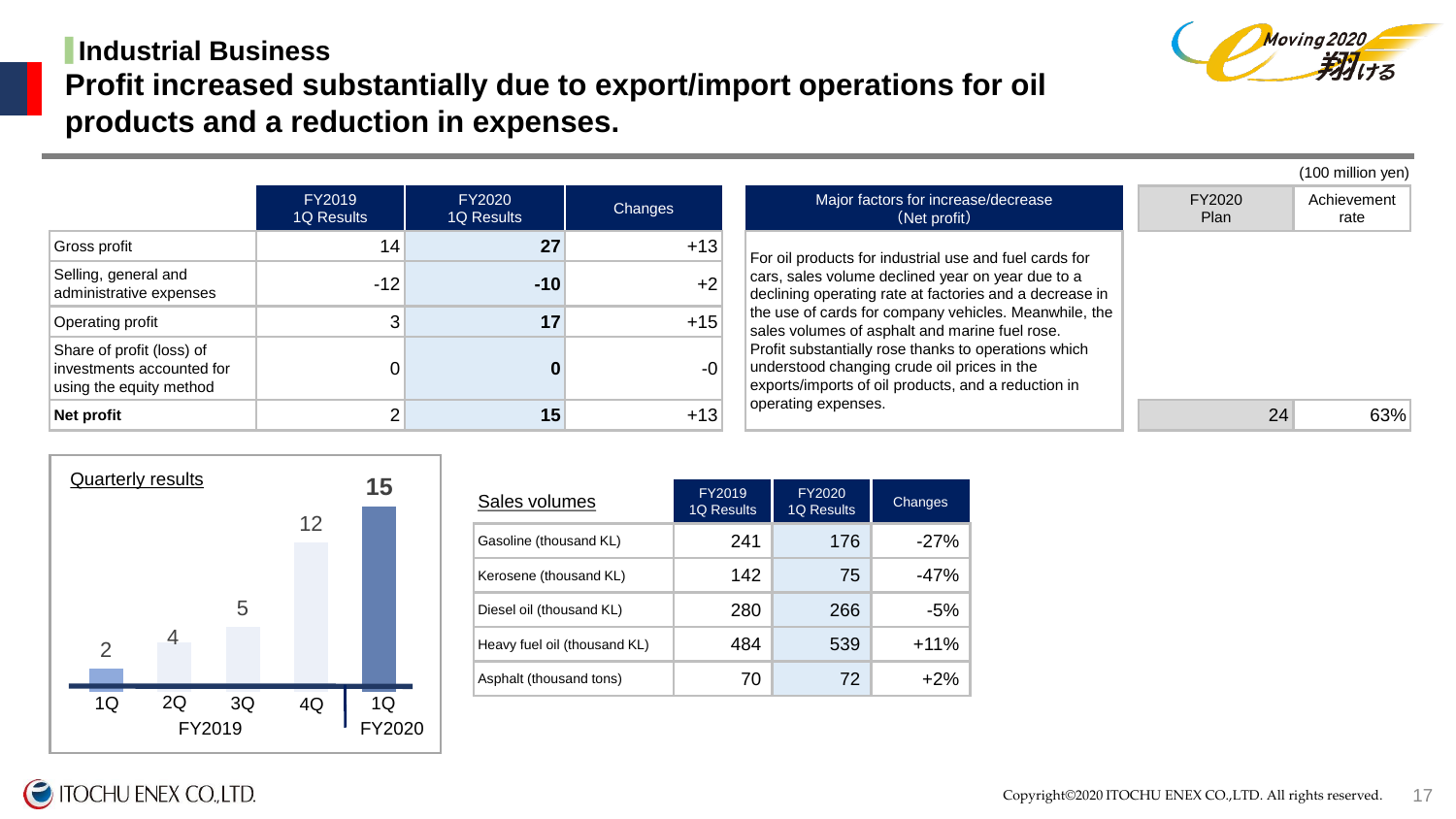## ▋**Industrial Business Profit increased substantially due to export/import operations for oil products and a reduction in expenses.**





| Sales volumes                | FY2019<br><b>1Q Results</b> | FY2020<br><b>1Q Results</b> | Changes |
|------------------------------|-----------------------------|-----------------------------|---------|
| Gasoline (thousand KL)       | 241                         | 176                         | $-27%$  |
| Kerosene (thousand KL)       | 142                         | 75                          | $-47%$  |
| Diesel oil (thousand KL)     | 280                         | 266                         | -5%     |
| Heavy fuel oil (thousand KL) | 484                         | 539                         | $+11%$  |
| Asphalt (thousand tons)      | 70                          | 72                          | $+2%$   |

17

**TOCHU ENEX CO.,LTD.**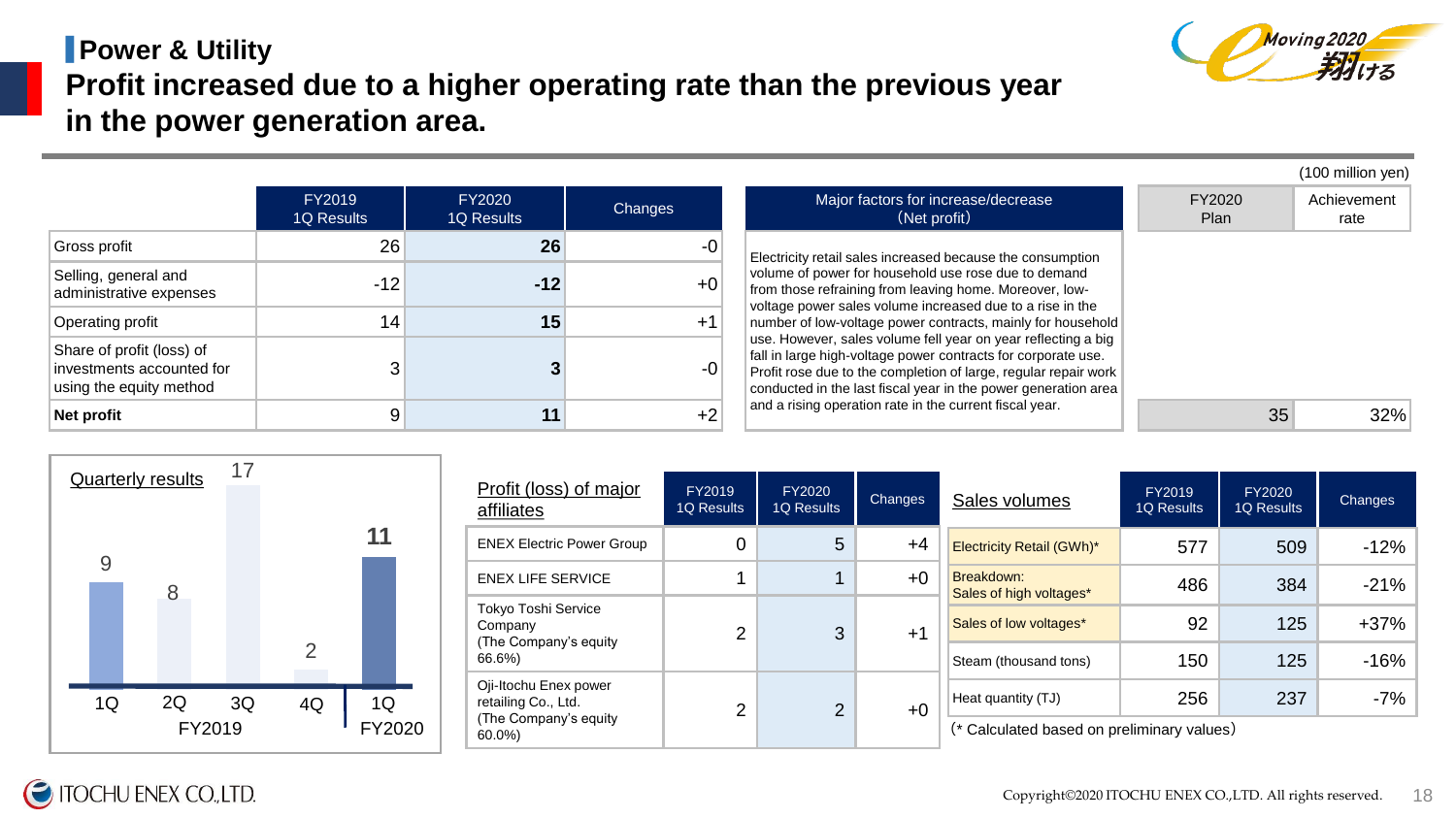## ▋**Power & Utility Profit increased due to a higher operating rate than the previous year in the power generation area.**

|                                                                                   |                      |                      |         |                                                                                                                                                                                                                                                                     |                | (100 million yen)   |
|-----------------------------------------------------------------------------------|----------------------|----------------------|---------|---------------------------------------------------------------------------------------------------------------------------------------------------------------------------------------------------------------------------------------------------------------------|----------------|---------------------|
|                                                                                   | FY2019<br>1Q Results | FY2020<br>1Q Results | Changes | Major factors for increase/decrease<br>(Net profit)                                                                                                                                                                                                                 | FY2020<br>Plan | Achievement<br>rate |
| Gross profit                                                                      | 26                   | 26                   | $-0$    | Electricity retail sales increased because the consumption                                                                                                                                                                                                          |                |                     |
| Selling, general and<br>administrative expenses                                   | $-12$                | $-12$                | $+0'$   | volume of power for household use rose due to demand<br>from those refraining from leaving home. Moreover, low-<br>voltage power sales volume increased due to a rise in the                                                                                        |                |                     |
| Operating profit                                                                  | 14                   | 15                   | $+1$    | number of low-voltage power contracts, mainly for household                                                                                                                                                                                                         |                |                     |
| Share of profit (loss) of<br>investments accounted for<br>using the equity method |                      |                      | $-0$    | use. However, sales volume fell year on year reflecting a big<br>fall in large high-voltage power contracts for corporate use.<br>Profit rose due to the completion of large, regular repair work<br>conducted in the last fiscal year in the power generation area |                |                     |
| Net profit                                                                        |                      | 11                   | $+2$    | and a rising operation rate in the current fiscal year.                                                                                                                                                                                                             | 35             | 32%                 |



**TOCHU ENEX CO., LTD.** 

| Profit (loss) of major<br>affiliates                    | FY2019<br><b>1Q Results</b> | FY2020<br><b>1Q Results</b> | <b>Changes</b>                        | Sales volumes                              | FY2019<br><b>1Q Results</b> | FY2020<br>1Q Results | Changes |  |  |  |  |
|---------------------------------------------------------|-----------------------------|-----------------------------|---------------------------------------|--------------------------------------------|-----------------------------|----------------------|---------|--|--|--|--|
| <b>ENEX Electric Power Group</b>                        | $\overline{0}$              | 5                           | $+4$                                  | <b>Electricity Retail (GWh)*</b>           | 577                         | 509                  | $-12%$  |  |  |  |  |
| <b>ENEX LIFE SERVICE</b>                                | $+0$<br>1                   |                             | Breakdown:<br>Sales of high voltages* | 486                                        | 384                         | $-21%$               |         |  |  |  |  |
| Tokyo Toshi Service<br>Company<br>(The Company's equity | $\overline{2}$              | 3                           | $+1$                                  | Sales of low voltages*                     | 92                          | 125                  | $+37%$  |  |  |  |  |
| 66.6%)                                                  |                             |                             |                                       | Steam (thousand tons)                      | 150                         | 125                  | $-16%$  |  |  |  |  |
| Oji-Itochu Enex power<br>retailing Co., Ltd.            | $\overline{2}$              | $\overline{2}$              | $+0$                                  | Heat quantity (TJ)                         | 256                         | 237                  | $-7%$   |  |  |  |  |
| (The Company's equity<br>60.0%)                         |                             |                             |                                       | (* Calculated based on preliminary values) |                             |                      |         |  |  |  |  |



Copyright©2020 ITOCHU ENEX CO.,LTD. All rights reserved. 18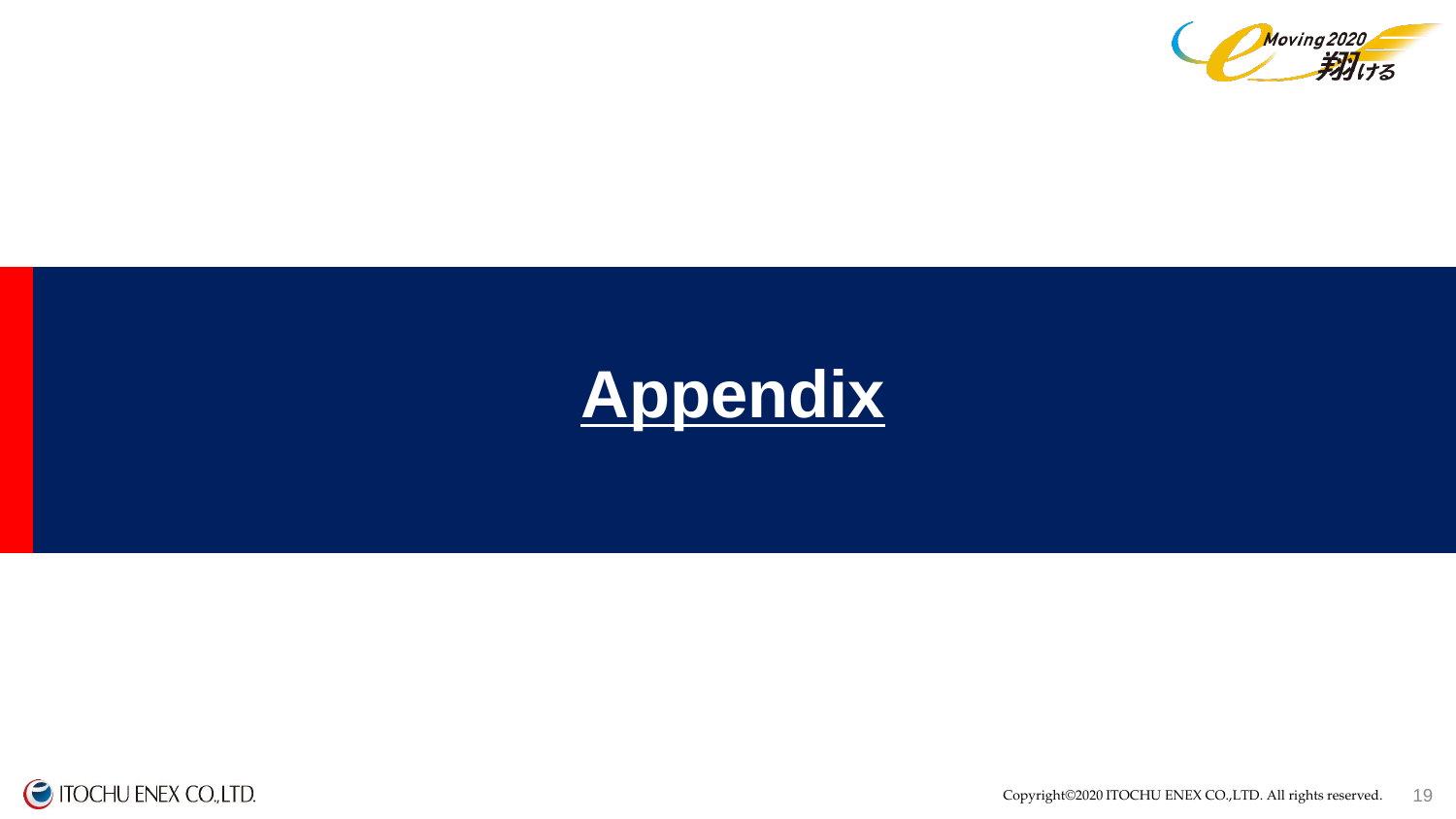



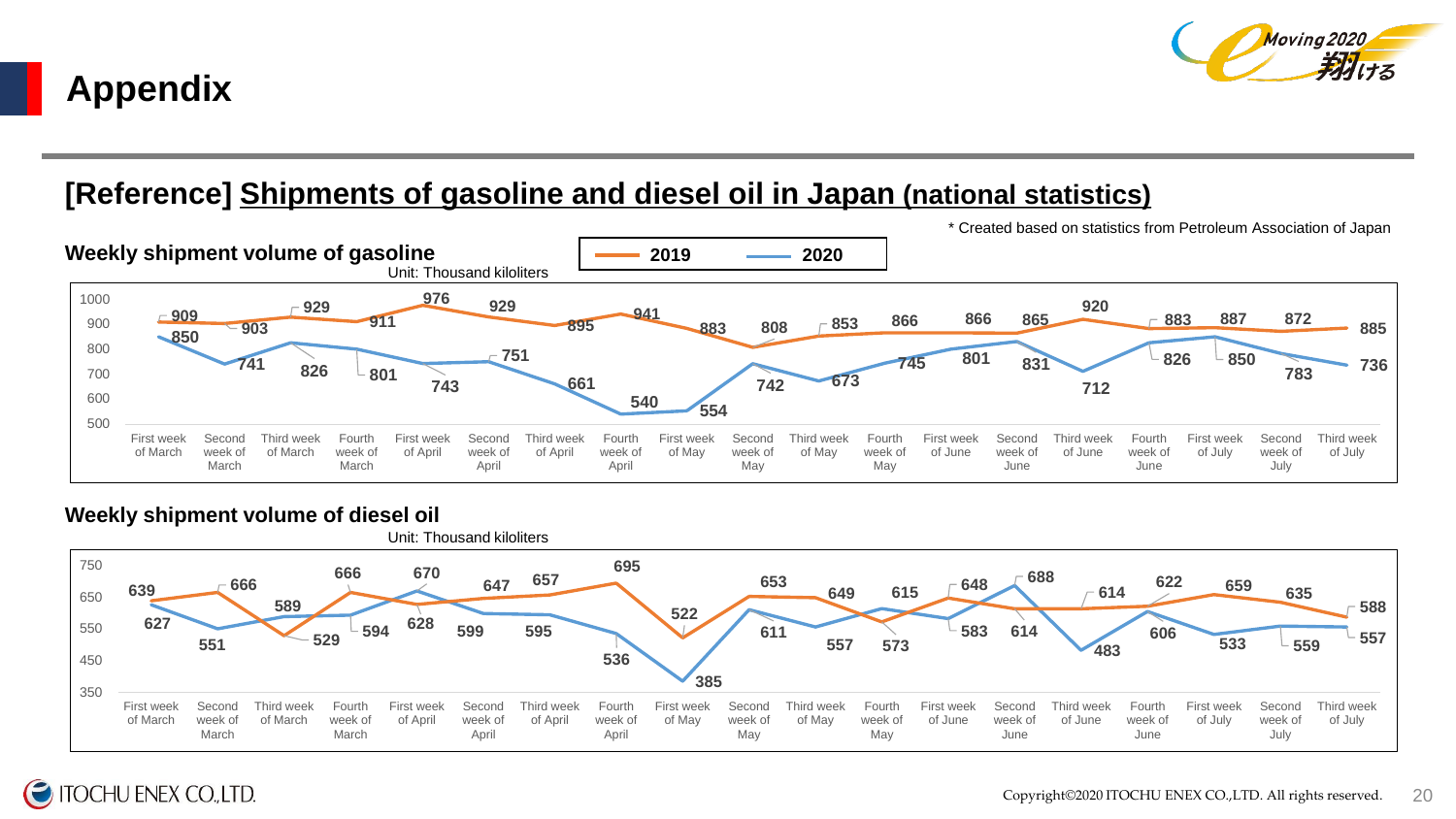

# **Appendix**

### **[Reference] Shipments of gasoline and diesel oil in Japan (national statistics)**



#### **Weekly shipment volume of diesel oil**



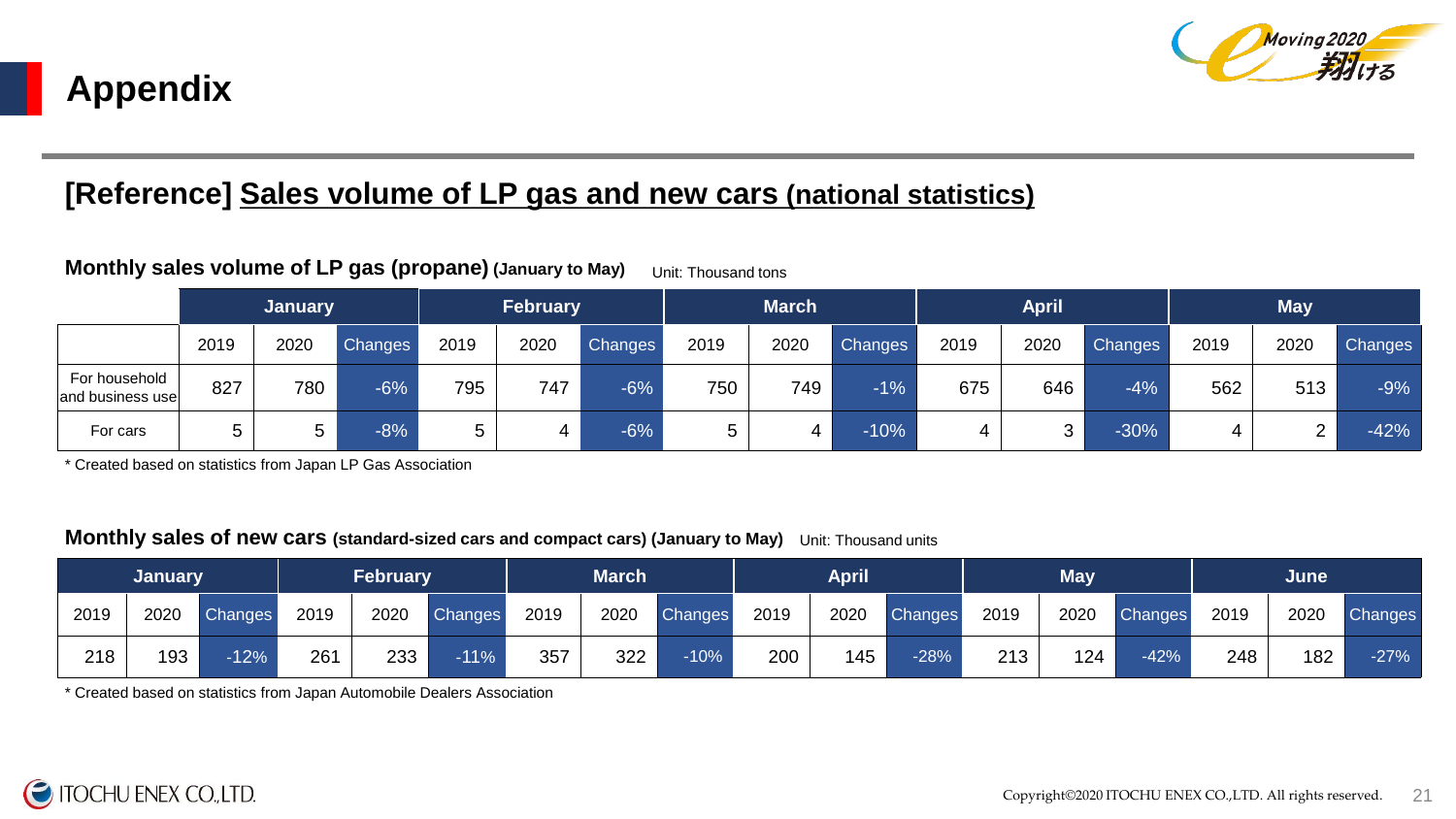

## **[Reference] Sales volume of LP gas and new cars (national statistics)**

#### **Monthly sales volume of LP gas (propane) (January to May)** Unit: Thousand tons

|                                   | <b>January</b> |      |                | <b>February</b> |      |         | <b>March</b> |      |         |      | <b>April</b> |         | <b>May</b> |      |         |  |
|-----------------------------------|----------------|------|----------------|-----------------|------|---------|--------------|------|---------|------|--------------|---------|------------|------|---------|--|
|                                   | 2019           | 2020 | <b>Changes</b> | 2019            | 2020 | Changes | 2019         | 2020 | Changes | 2019 | 2020         | Changes | 2019       | 2020 | Changes |  |
| For household<br>and business use | 827            | 780  | $-6%$          | 795             | 747  | $-6\%$  | 750          | 749  | $-1%$   | 675  | 646          | $-4%$   | 562        | 513  | $-9%$   |  |
| For cars                          |                | 5.   | $-8%$          | 5               |      | $-6%$   | b.           | 4    | $-10%$  | 4    | ົ<br>ັ       | $-30%$  |            |      | $-42%$  |  |

\* Created based on statistics from Japan LP Gas Association

#### **Monthly sales of new cars (standard-sized cars and compact cars) (January to May)** Unit: Thousand units

|      | <b>February</b><br>January |                | <b>March</b> |      |                | April |      |         |      | May <sup>'</sup> |         | June |      |         |      |      |         |
|------|----------------------------|----------------|--------------|------|----------------|-------|------|---------|------|------------------|---------|------|------|---------|------|------|---------|
| 2019 | 2020                       | <b>Changes</b> | 2019         | 2020 | <b>Changes</b> | 2019  | 2020 | Changes | 2019 | 2020             | Changes | 2019 | 2020 | Changes | 2019 | 2020 | Changes |
| 218  | 193                        | $-12%$         | 261          | 233  | $-11%$         | 357   | 322  | $-10%$  | 200  | 145              | $-28%$  | 213  | 124  | $-42%$  | 248  | 182  | $-27%$  |

\* Created based on statistics from Japan Automobile Dealers Association